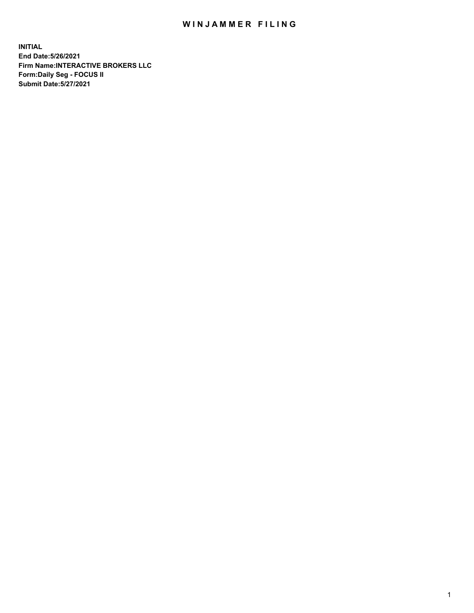## WIN JAMMER FILING

**INITIAL End Date:5/26/2021 Firm Name:INTERACTIVE BROKERS LLC Form:Daily Seg - FOCUS II Submit Date:5/27/2021**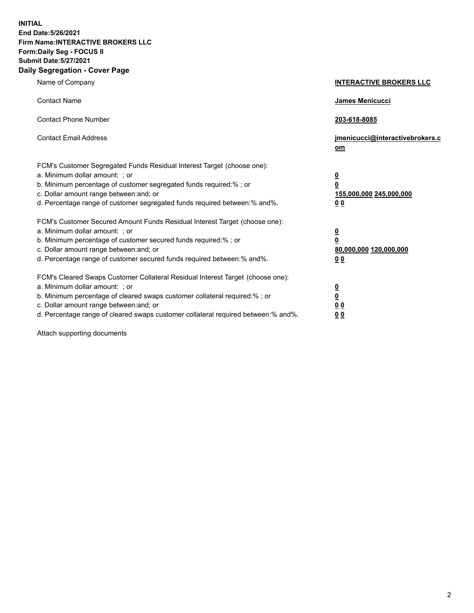**INITIAL End Date:5/26/2021 Firm Name:INTERACTIVE BROKERS LLC Form:Daily Seg - FOCUS II Submit Date:5/27/2021 Daily Segregation - Cover Page**

| Name of Company                                                                                                                                                                                                                                                                                                                | <b>INTERACTIVE BROKERS LLC</b>                                                   |
|--------------------------------------------------------------------------------------------------------------------------------------------------------------------------------------------------------------------------------------------------------------------------------------------------------------------------------|----------------------------------------------------------------------------------|
| <b>Contact Name</b>                                                                                                                                                                                                                                                                                                            | James Menicucci                                                                  |
| <b>Contact Phone Number</b>                                                                                                                                                                                                                                                                                                    | 203-618-8085                                                                     |
| <b>Contact Email Address</b>                                                                                                                                                                                                                                                                                                   | jmenicucci@interactivebrokers.c<br>om                                            |
| FCM's Customer Segregated Funds Residual Interest Target (choose one):<br>a. Minimum dollar amount: ; or<br>b. Minimum percentage of customer segregated funds required:% ; or<br>c. Dollar amount range between: and; or<br>d. Percentage range of customer segregated funds required between:% and%.                         | <u>0</u><br>$\overline{\mathbf{0}}$<br>155,000,000 245,000,000<br>0 <sub>0</sub> |
| FCM's Customer Secured Amount Funds Residual Interest Target (choose one):<br>a. Minimum dollar amount: ; or<br>b. Minimum percentage of customer secured funds required:% ; or<br>c. Dollar amount range between: and; or<br>d. Percentage range of customer secured funds required between:% and%.                           | <u>0</u><br>$\overline{\mathbf{0}}$<br>80,000,000 120,000,000<br>0 <sub>0</sub>  |
| FCM's Cleared Swaps Customer Collateral Residual Interest Target (choose one):<br>a. Minimum dollar amount: ; or<br>b. Minimum percentage of cleared swaps customer collateral required:% ; or<br>c. Dollar amount range between: and; or<br>d. Percentage range of cleared swaps customer collateral required between:% and%. | <u>0</u><br>$\underline{\mathbf{0}}$<br>0 <sub>0</sub><br>0 <sub>0</sub>         |

Attach supporting documents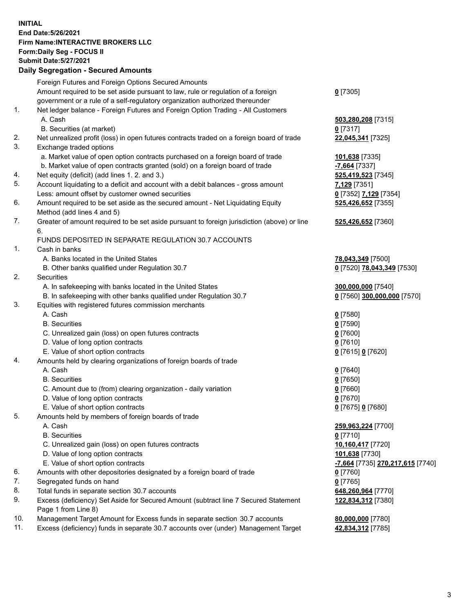**INITIAL End Date:5/26/2021 Firm Name:INTERACTIVE BROKERS LLC Form:Daily Seg - FOCUS II Submit Date:5/27/2021 Daily Segregation - Secured Amounts**

## Foreign Futures and Foreign Options Secured Amounts Amount required to be set aside pursuant to law, rule or regulation of a foreign government or a rule of a self-regulatory organization authorized thereunder **0** [7305] 1. Net ledger balance - Foreign Futures and Foreign Option Trading - All Customers A. Cash **503,280,208** [7315] B. Securities (at market) **0** [7317] 2. Net unrealized profit (loss) in open futures contracts traded on a foreign board of trade **22,045,341** [7325] 3. Exchange traded options a. Market value of open option contracts purchased on a foreign board of trade **101,638** [7335] b. Market value of open contracts granted (sold) on a foreign board of trade **-7,664** [7337] 4. Net equity (deficit) (add lines 1. 2. and 3.) **525,419,523** [7345] 5. Account liquidating to a deficit and account with a debit balances - gross amount **7,129** [7351] Less: amount offset by customer owned securities **0** [7352] **7,129** [7354] 6. Amount required to be set aside as the secured amount - Net Liquidating Equity Method (add lines 4 and 5) **525,426,652** [7355] 7. Greater of amount required to be set aside pursuant to foreign jurisdiction (above) or line 6. **525,426,652** [7360] FUNDS DEPOSITED IN SEPARATE REGULATION 30.7 ACCOUNTS 1. Cash in banks A. Banks located in the United States **78,043,349** [7500] B. Other banks qualified under Regulation 30.7 **0** [7520] **78,043,349** [7530] 2. Securities A. In safekeeping with banks located in the United States **300,000,000** [7540] B. In safekeeping with other banks qualified under Regulation 30.7 **0** [7560] **300,000,000** [7570] 3. Equities with registered futures commission merchants A. Cash **0** [7580] B. Securities **0** [7590] C. Unrealized gain (loss) on open futures contracts **0** [7600] D. Value of long option contracts **0** [7610] E. Value of short option contracts **0** [7615] **0** [7620] 4. Amounts held by clearing organizations of foreign boards of trade A. Cash **0** [7640] B. Securities **0** [7650] C. Amount due to (from) clearing organization - daily variation **0** [7660] D. Value of long option contracts **0** [7670] E. Value of short option contracts **0** [7675] **0** [7680] 5. Amounts held by members of foreign boards of trade A. Cash **259,963,224** [7700] B. Securities **0** [7710] C. Unrealized gain (loss) on open futures contracts **10,160,417** [7720] D. Value of long option contracts **101,638** [7730] E. Value of short option contracts **-7,664** [7735] **270,217,615** [7740] 6. Amounts with other depositories designated by a foreign board of trade **0** [7760] 7. Segregated funds on hand **0** [7765] 8. Total funds in separate section 30.7 accounts **648,260,964** [7770] 9. Excess (deficiency) Set Aside for Secured Amount (subtract line 7 Secured Statement Page 1 from Line 8) **122,834,312** [7380] 10. Management Target Amount for Excess funds in separate section 30.7 accounts **80,000,000** [7780] 11. Excess (deficiency) funds in separate 30.7 accounts over (under) Management Target **42,834,312** [7785]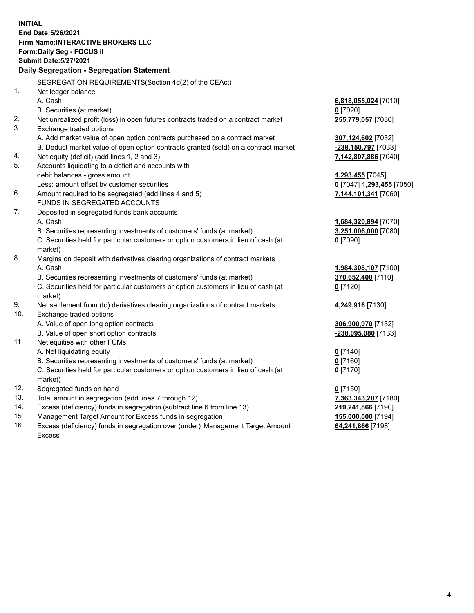**INITIAL End Date:5/26/2021 Firm Name:INTERACTIVE BROKERS LLC Form:Daily Seg - FOCUS II Submit Date:5/27/2021 Daily Segregation - Segregation Statement** SEGREGATION REQUIREMENTS(Section 4d(2) of the CEAct) 1. Net ledger balance A. Cash **6,818,055,024** [7010] B. Securities (at market) **0** [7020] 2. Net unrealized profit (loss) in open futures contracts traded on a contract market **255,779,057** [7030] 3. Exchange traded options A. Add market value of open option contracts purchased on a contract market **307,124,602** [7032] B. Deduct market value of open option contracts granted (sold) on a contract market **-238,150,797** [7033] 4. Net equity (deficit) (add lines 1, 2 and 3) **7,142,807,886** [7040] 5. Accounts liquidating to a deficit and accounts with debit balances - gross amount **1,293,455** [7045] Less: amount offset by customer securities **0** [7047] **1,293,455** [7050] 6. Amount required to be segregated (add lines 4 and 5) **7,144,101,341** [7060] FUNDS IN SEGREGATED ACCOUNTS 7. Deposited in segregated funds bank accounts A. Cash **1,684,320,894** [7070] B. Securities representing investments of customers' funds (at market) **3,251,006,000** [7080] C. Securities held for particular customers or option customers in lieu of cash (at market) **0** [7090] 8. Margins on deposit with derivatives clearing organizations of contract markets A. Cash **1,984,308,107** [7100] B. Securities representing investments of customers' funds (at market) **370,652,400** [7110] C. Securities held for particular customers or option customers in lieu of cash (at market) **0** [7120] 9. Net settlement from (to) derivatives clearing organizations of contract markets **4,249,916** [7130] 10. Exchange traded options A. Value of open long option contracts **306,900,970** [7132] B. Value of open short option contracts **-238,095,080** [7133] 11. Net equities with other FCMs A. Net liquidating equity **0** [7140] B. Securities representing investments of customers' funds (at market) **0** [7160] C. Securities held for particular customers or option customers in lieu of cash (at market) **0** [7170] 12. Segregated funds on hand **0** [7150] 13. Total amount in segregation (add lines 7 through 12) **7,363,343,207** [7180] 14. Excess (deficiency) funds in segregation (subtract line 6 from line 13) **219,241,866** [7190] 15. Management Target Amount for Excess funds in segregation **155,000,000** [7194]

16. Excess (deficiency) funds in segregation over (under) Management Target Amount Excess

**64,241,866** [7198]